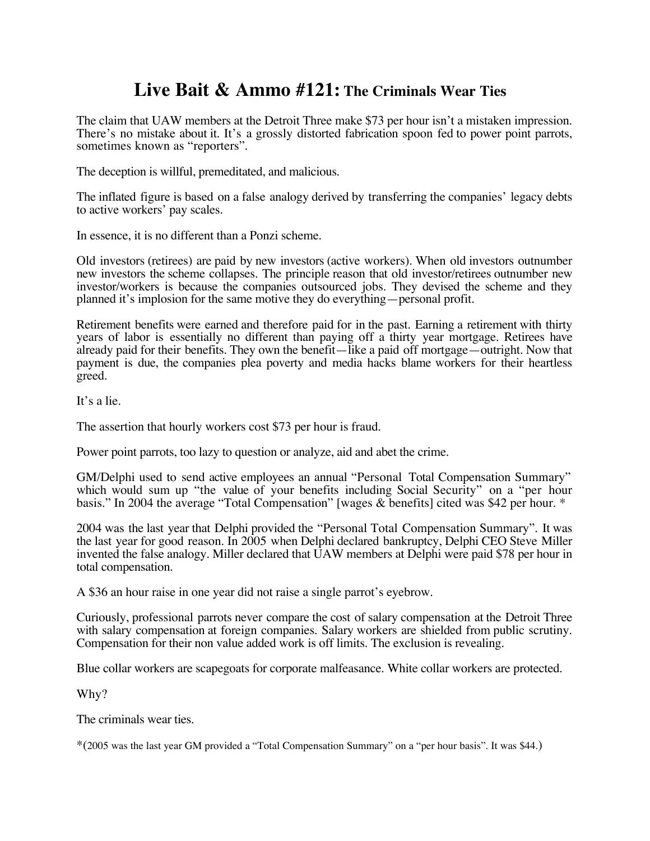## **Live Bait & Ammo #121: The Criminals Wear Ties**

The claim that UAW members at the Detroit Three make \$73 per hour isn't a mistaken impression. There's no mistake about it. It's a grossly distorted fabrication spoon fed to power point parrots, sometimes known as "reporters".

The deception is willful, premeditated, and malicious.

The inflated figure is based on a false analogy derived by transferring the companies' legacy debts to active workers' pay scales.

In essence, it is no different than a Ponzi scheme.

Old investors (retirees) are paid by new investors (active workers). When old investors outnumber new investors the scheme collapses. The principle reason that old investor/retirees outnumber new investor/workers is because the companies outsourced jobs. They devised the scheme and they planned it's implosion for the same motive they do everything—personal profit.

Retirement benefits were earned and therefore paid for in the past. Earning a retirement with thirty years of labor is essentially no different than paying off a thirty year mortgage. Retirees have already paid for their benefits. They own the benefit—like a paid off mortgage—outright. Now that payment is due, the companies plea poverty and media hacks blame workers for their heartless greed.

It's a lie.

The assertion that hourly workers cost \$73 per hour is fraud.

Power point parrots, too lazy to question or analyze, aid and abet the crime.

GM/Delphi used to send active employees an annual "Personal Total Compensation Summary" which would sum up "the value of your benefits including Social Security" on a "per hour basis." In 2004 the average "Total Compensation" [wages & benefits] cited was \$42 per hour. \*

2004 was the last year that Delphi provided the "Personal Total Compensation Summary". It was the last year for good reason. In 2005 when Delphi declared bankruptcy, Delphi CEO Steve Miller invented the false analogy. Miller declared that UAW members at Delphi were paid \$78 per hour in total compensation.

A \$36 an hour raise in one year did not raise a single parrot's eyebrow.

Curiously, professional parrots never compare the cost of salary compensation at the Detroit Three with salary compensation at foreign companies. Salary workers are shielded from public scrutiny. Compensation for their non value added work is off limits. The exclusion is revealing.

Blue collar workers are scapegoats for corporate malfeasance. White collar workers are protected.

Why?

The criminals wear ties.

\*(2005 was the last year GM provided a "Total Compensation Summary" on a "per hour basis". It was \$44.)